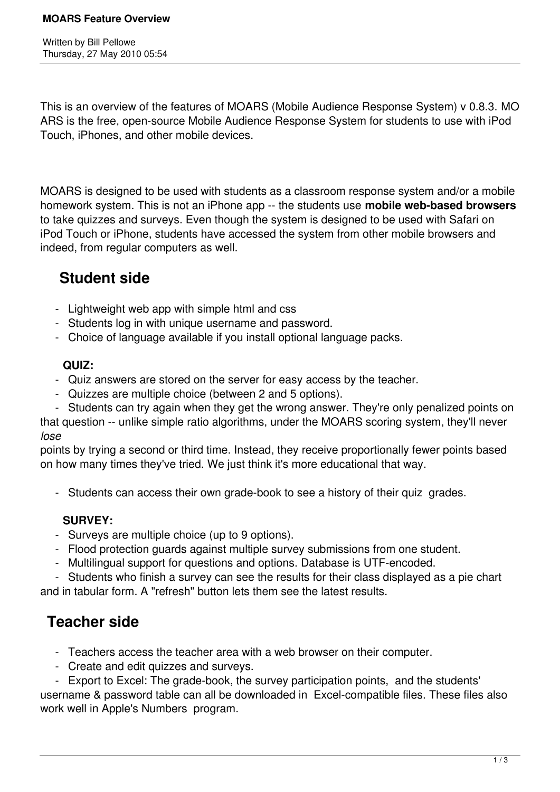This is an overview of the features of MOARS (Mobile Audience Response System) v 0.8.3. MO ARS is the free, open-source Mobile Audience Response System for students to use with iPod Touch, iPhones, and other mobile devices.

MOARS is designed to be used with students as a classroom response system and/or a mobile homework system. This is not an iPhone app -- the students use **mobile web-based browsers** to take quizzes and surveys. Even though the system is designed to be used with Safari on iPod Touch or iPhone, students have accessed the system from other mobile browsers and indeed, from regular computers as well.

## **Student side**

- Lightweight web app with simple html and css
- Students log in with unique username and password.
- Choice of language available if you install optional language packs.

### **QUIZ:**

- Quiz answers are stored on the server for easy access by the teacher.
- Quizzes are multiple choice (between 2 and 5 options).
- Students can try again when they get the wrong answer. They're only penalized points on

that question -- unlike simple ratio algorithms, under the MOARS scoring system, they'll never *lose*

points by trying a second or third time. Instead, they receive proportionally fewer points based on how many times they've tried. We just think it's more educational that way.

- Students can access their own grade-book to see a history of their quiz grades.

### **SURVEY:**

- Surveys are multiple choice (up to 9 options).
- Flood protection guards against multiple survey submissions from one student.
- Multilingual support for questions and options. Database is UTF-encoded.

 - Students who finish a survey can see the results for their class displayed as a pie chart and in tabular form. A "refresh" button lets them see the latest results.

# **Teacher side**

- Teachers access the teacher area with a web browser on their computer.
- Create and edit quizzes and surveys.

 - Export to Excel: The grade-book, the survey participation points, and the students' username & password table can all be downloaded in Excel-compatible files. These files also work well in Apple's Numbers program.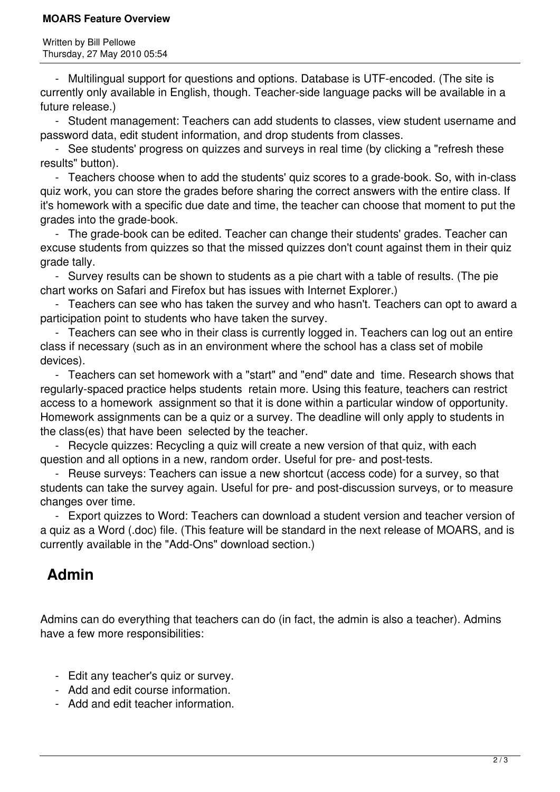#### **MOARS Feature Overview**

 - Multilingual support for questions and options. Database is UTF-encoded. (The site is currently only available in English, though. Teacher-side language packs will be available in a future release.)

 - Student management: Teachers can add students to classes, view student username and password data, edit student information, and drop students from classes.

 - See students' progress on quizzes and surveys in real time (by clicking a "refresh these results" button).

 - Teachers choose when to add the students' quiz scores to a grade-book. So, with in-class quiz work, you can store the grades before sharing the correct answers with the entire class. If it's homework with a specific due date and time, the teacher can choose that moment to put the grades into the grade-book.

 - The grade-book can be edited. Teacher can change their students' grades. Teacher can excuse students from quizzes so that the missed quizzes don't count against them in their quiz grade tally.

 - Survey results can be shown to students as a pie chart with a table of results. (The pie chart works on Safari and Firefox but has issues with Internet Explorer.)

 - Teachers can see who has taken the survey and who hasn't. Teachers can opt to award a participation point to students who have taken the survey.

 - Teachers can see who in their class is currently logged in. Teachers can log out an entire class if necessary (such as in an environment where the school has a class set of mobile devices).

 - Teachers can set homework with a "start" and "end" date and time. Research shows that regularly-spaced practice helps students retain more. Using this feature, teachers can restrict access to a homework assignment so that it is done within a particular window of opportunity. Homework assignments can be a quiz or a survey. The deadline will only apply to students in the class(es) that have been selected by the teacher.

 - Recycle quizzes: Recycling a quiz will create a new version of that quiz, with each question and all options in a new, random order. Useful for pre- and post-tests.

 - Reuse surveys: Teachers can issue a new shortcut (access code) for a survey, so that students can take the survey again. Useful for pre- and post-discussion surveys, or to measure changes over time.

 - Export quizzes to Word: Teachers can download a student version and teacher version of a quiz as a Word (.doc) file. (This feature will be standard in the next release of MOARS, and is currently available in the "Add-Ons" download section.)

## **Admin**

Admins can do everything that teachers can do (in fact, the admin is also a teacher). Admins have a few more responsibilities:

- Edit any teacher's quiz or survey.
- Add and edit course information.
- Add and edit teacher information.